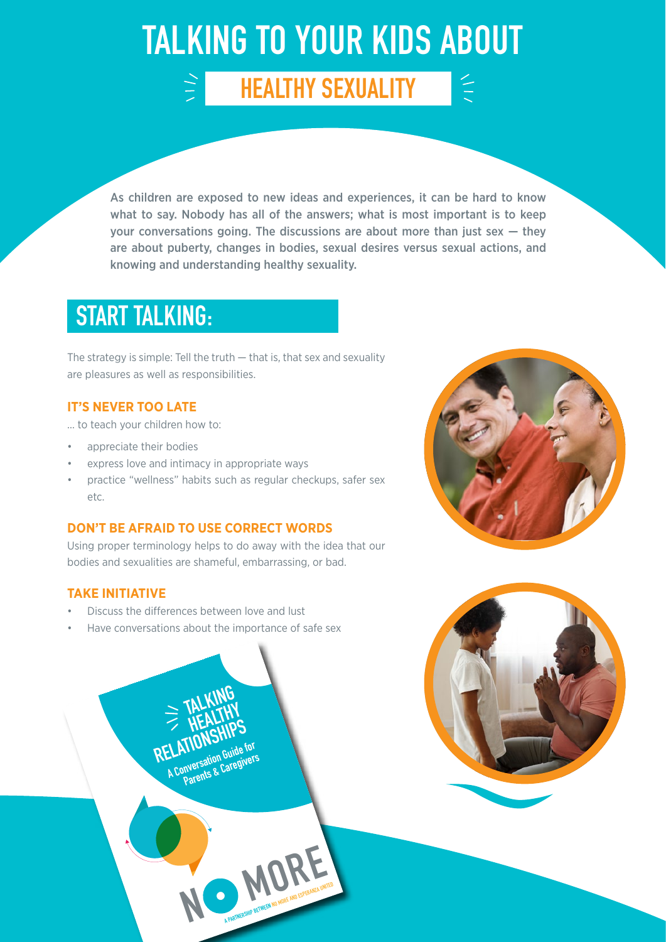## TALKING TO YOUR KIDS ABOUT

HEALTHY SEXUALITY

As children are exposed to new ideas and experiences, it can be hard to know what to say. Nobody has all of the answers; what is most important is to keep your conversations going. The discussions are about more than just sex  $-$  they are about puberty, changes in bodies, sexual desires versus sexual actions, and knowing and understanding healthy sexuality.

### START TALKING:

The strategy is simple: Tell the truth  $-$  that is, that sex and sexuality are pleasures as well as responsibilities.

#### **IT'S NEVER TOO LATE**

… to teach your children how to:

- appreciate their bodies
- express love and intimacy in appropriate ways

 $\frac{1}{2}$ 

• practice "wellness" habits such as regular checkups, safer sex etc.

#### **DON'T BE AFRAID TO USE CORRECT WORDS**

Using proper terminology helps to do away with the idea that our bodies and sexualities are shameful, embarrassing, or bad.

#### **TAKE INITIATIVE**

• Discuss the differences between love and lust

**N**

**MORE** 

Have conversations about the importance of safe sex

 **TALKING** 

**ELAITON**<br>A Conversation Guide for **Parents & Caregivers**

**ELATIONSHIPS**<br> **RELATIONSHIPS** 



 $\leq$